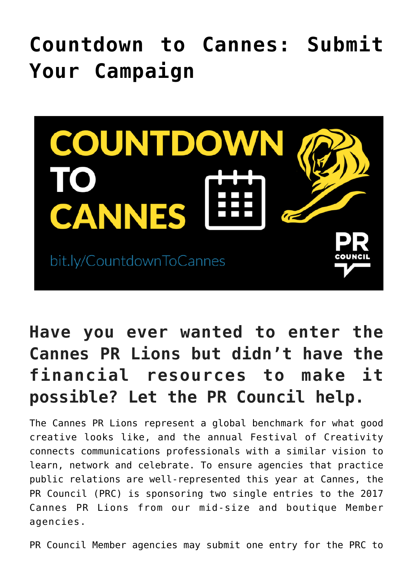## **[Countdown to Cannes: Submit](https://www.commpro.biz/countdown-to-cannes-submit-your-campaign/) [Your Campaign](https://www.commpro.biz/countdown-to-cannes-submit-your-campaign/)**



## **Have you ever wanted to enter the Cannes PR Lions but didn't have the financial resources to make it possible? Let the PR Council help.**

The Cannes PR Lions represent a global benchmark for what good creative looks like, and the annual Festival of Creativity connects communications professionals with a similar vision to learn, network and celebrate. To ensure agencies that practice public relations are well-represented this year at Cannes, the PR Council (PRC) is sponsoring two single entries to the 2017 Cannes PR Lions from our mid-size and boutique Member agencies.

PR Council Member agencies may submit one entry for the PRC to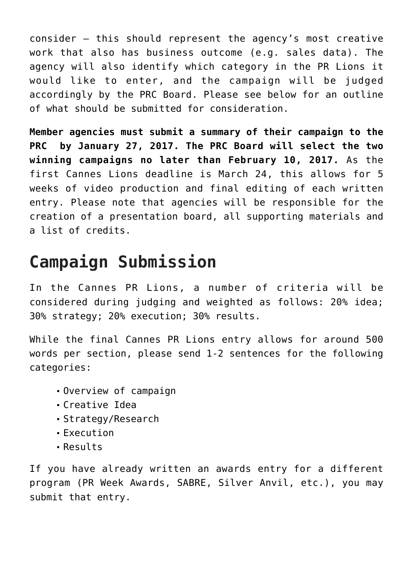consider – this should represent the agency's most creative work that also has business outcome (e.g. sales data). The agency will also identify which [category in the PR Lions](https://www.canneslions.com/awards/the-lions/pr) it would like to enter, and the campaign will be judged accordingly by the PRC Board. Please see below for an outline of what should be submitted for consideration.

**Member agencies must submit a summary of their campaign to the PRC by January 27, 2017. The PRC Board will select the two winning campaigns no later than February 10, 2017.** As the first Cannes Lions deadline is March 24, this allows for 5 weeks of video production and final editing of each written entry. Please note that agencies will be responsible for the creation of a presentation board, all supporting materials and a list of credits.

## **Campaign Submission**

In the Cannes PR Lions, a number of criteria will be considered during judging and weighted as follows: 20% idea; 30% strategy; 20% execution; 30% results.

While the final Cannes PR Lions entry allows for around 500 words per section, please send 1-2 sentences for the following categories:

- Overview of campaign
- Creative Idea
- Strategy/Research
- Execution
- Results

If you have already written an awards entry for a different program (PR Week Awards, SABRE, Silver Anvil, etc.), you may submit that entry.